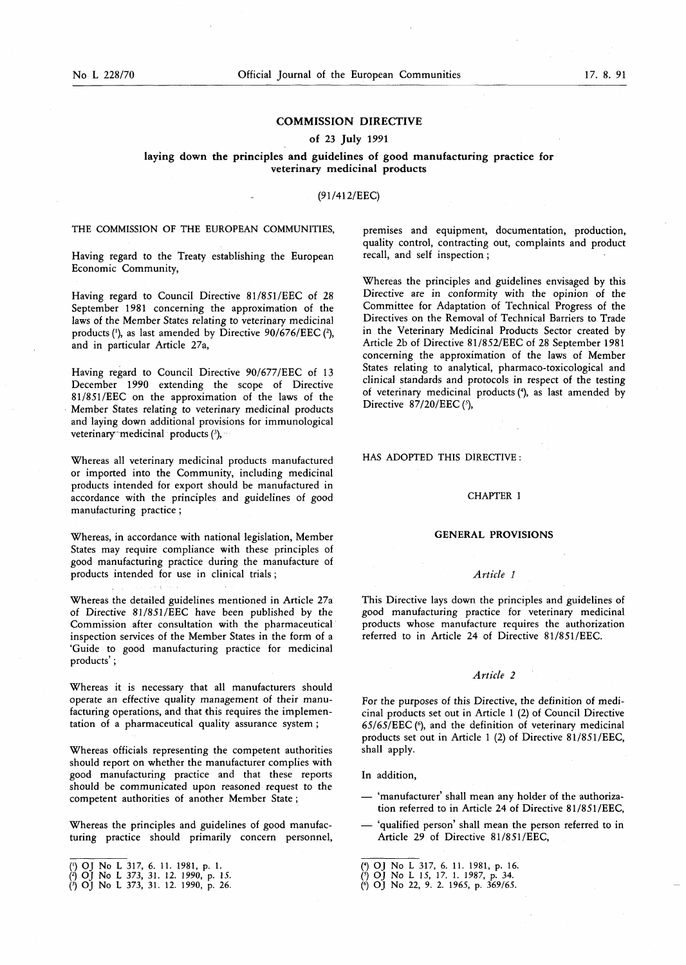# **COMMISSION DIRECTIVE**

### **of 23 July 1991**

**laying down the principles and guidelines of good manufacturing practice for veterinary medicinal products** 

### $(91/412/EEC)$

THE COMMISSION OF THE EUROPEAN COMMUNITIES,

Having regard to the Treaty establishing the European Economic Community,

Having regard to Council Directive 81/851/EEC of 28 September 1981 concerning the approximation of the laws of the Member States relating to veterinary medicinal products **(l),** as last amended by Directive 90/676/EEC **(2),**  and in particular Article 27a,

Having regard to Council Directive 90/677/EEC of 13 December 1990 extending the scope of Directive 81/851/EEC on the approximation of the laws of the Member States relating to veterinary medicinal products and laying down additional provisions for immunological veterinary medicinal products (3),

Whereas all veterinary medicinal products manufactured or imported into the Community, including medicinal products intended for export should be manufactured in accordance with the principles and guidelines of good manufacturing practice ;

Whereas, in accordance with national legislation, Member States may require compliance with these principles of good manufacturing practice during the manufacture of products intended for use in clinical trials ;

Whereas the detailed guidelines mentioned in Article 27a of Directive 81/851/EEC have been published by the Commission after consultation with the pharmaceutical inspection services of the Member States in the form of a 'Guide to good manufacturing practice for medicinal products';

Whereas it is necessary that all manufacturers should operate an effective quality management of their manufacturing operations, and that this requires the implementation of a pharmaceutical quality assurance system ;

Whereas officials representing the competent authorities should report on whether the manufacturer complies with good manufacturing practice and that these reports should be communicated upon reasoned request to the competent authorities of another Member State ;

Whereas the principles and guidelines of good manufacturing practice should primarily concern personnel, premises and equipment, documentation, production, quality control, contracting out, complaints and product recall, and self inspection ;

Whereas the principles and guidelines envisaged by this Directive are in conformity with the opinion of the Committee for Adaptation of Technical Progress of the Directives on the Removal of Technical Barriers to Trade in the Veterinary Medicinal Products Sector created by Article 2b of Directive 81/852/EEC of 28 September 1981 concerning the approximation of the laws of Member States relating to analytical, pharmaco-toxicological and clinical standards and protocols in respect of the testing of veterinary medicinal products (4), as last amended by Directive  $87/20/EEC$  ( $\frac{5}{7}$ ),

## HAS ADOPTED THIS DIRECTIVE :

## CHAPTER I

### **GENERAL PROVISIONS**

# *Article l*

This Directive lays down the principles and guidelines of good manufacturing practice for veterinary medicinal products whose manufacture requires the authorization referred to in Article 24 of Directive 81/851/EEC.

### *Article 2*

For the purposes of this Directive, the definition of medicinal products set out in Article 1 (2) of Council Directive 65/6S/EEC f), and the definition of veterinary medicinal products set out in Article 1 (2) of Directive 8 1/851/EEC, shall apply.

In addition,

- 'manufacturer' shall mean any holder of the authorization referred to in Article 24 of Directive 81/851/EEC,
- 'qualified person' shall mean the person referred to in Article 29 of Directive 81/851/EEC,

<sup>(1)</sup> OJ No L 317, 6. 11. 1981, p. 1.<br>(2) OJ No L 373, 31. 12. 1990, p. 15.<br>(2) OJ No L 373, 31. 12. 1990, p. 26.

<sup>(\*)</sup> OJ No L 317, 6. 11. 1981, p. 16.<br>(\*) OJ No L 15, 17. 1. 1987, p. 34.<br>(\*) OJ No 22, 9. 2. 1965, p. 369/65.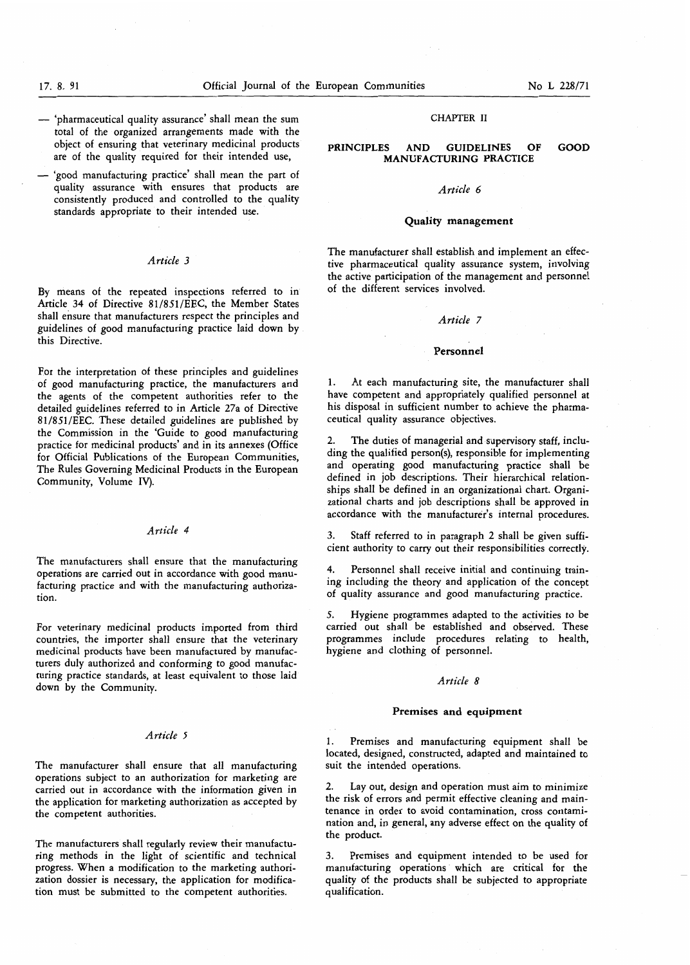- 'pharmaceutical quality assurance' shall mean the sum total of the organized arrangements made with the object of ensuring that veterinary medicinal products are of the quality required for their intended use,
- 'good manufacturing practice' shall mean the part of quality assurance with ensures that products are consistently produced and controlled to the quality standards appropriate to their intended use.

### *Article* **3**

By means of the repeated inspections referred to in Article 34 of Directive 81/851/EEC, the Member States shall ensure that manufacturers respect the principles and guidelines of good manufacturing practice laid down by this Directive.

For the interpretation of these principles and guidelines of good manufacturing practice, the manufacturers and the agents of the competent authorities refer to the detailed guidelines referred to in Article 27a of Directive 81/851/EEC. These detailed guidelines are published by the Commission in the 'Guide to good manufacturing practice for medicinal products' and in its annexes (Office for Official Publications of the European Communities, The Rules Governing Medicinal Products in the European Community, Volume IV).

### *Article 4*

The manufacturers shall ensure that the manufacturing operations are carried out in accordance with good manufacturing practice and with the manufacturing authorization.

For veterinary medicinal products imported from third countries, the importer shall ensure that the veterinary medicinal products have been manufactured by manufacturers duly authorized and conforming to good manufacturing practice standards, at least equivalent to those laid down by the Community.

# *Article* **<sup>5</sup>**

The manufacturer shall ensure that all manufacturing operations subject to an authorization for marketing are carried out in accordance with the information given in the application for marketing authorization as accepted by the competent authorities.

The manufacturers shall regularly review their manufacturing methods in the light of scientific and technical progress. When a modification to the marketing authorization dossier is necessary, the application for modification must be submitted to the competent authorities.

# **CHAPTER** I1

# **PRINCIPLES AND GUIDELINES OF GOOD MANUFACTURING PRACTICE**

## *Article 6*

### **Quality management**

The manufacturer shall establish and implement an effective pharmaceutical quality assurance system, involving the active participation of the management and personnel of the different services involved.

### *Article* 7

#### **Personnel**

1. At each manufacturing site, the manufacturer shall have competent and appropriately qualified personnel at his disposal in sufficient number to achieve the pharmaceutical quality assurance objectives.

2. ding the qualified person(s), responsible for implementing and operating good manufacturing practice shall be defined in job descriptions. Their hierarchical relation-The duties of managerial and supervisory staff, incluships shall be defined in an organizational chart. Organizational charts and job descriptions shall be approved in accordance with the manufacturer's internal procedures.

**3.** Staff referred to in paragraph 2 shall be given sufficient authority to carry out their responsibilities correctly.

Personnel shall receive initial and continuing training including the theory and application of the concept of quality assurance and good manufacturing practice.

**5.** Hygiene programmes adapted to the activities to be carried out shall be established and observed. These programmes include procedures relating to health, hygiene and clothing of personnel.

# *Article 8*

## **Premises and equipment**

1. Premises and manufacturing equipment shall be located, designed, constructed, adapted and maintained to suit the intended operations.

**2.** Lay out, design and operation must aim to minimize the risk of errors and permit effective cleaning and maintenance in order to avoid contamination, cross contamination and, in general, any adverse effect on the quality of the product.

**3.** Premises and equipment intended to be used for manufacturing operations which are critical for the quality of the products shall be subjected to appropriate qualification.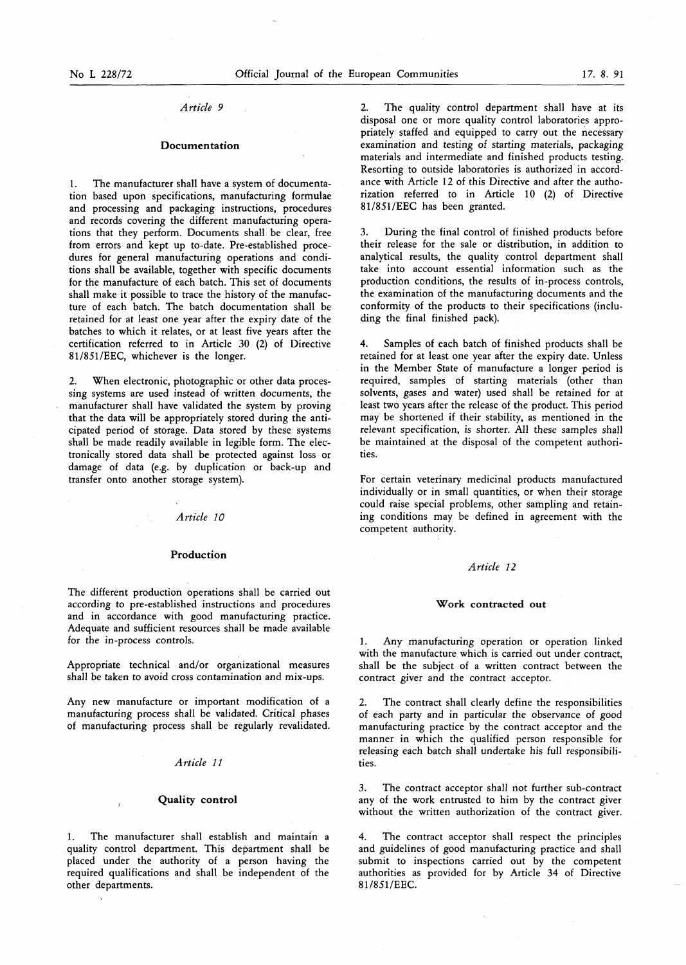# *Article 9*

# **Documentation**

1. The manufacturer shall have a system of documentation based upon specifications, manufacturing formulae and processing and packaging instructions, procedures and records covering the different manufacturing operations that they perform. Documents shall be clear, free from errors and kept up to-date. Pre-established procedures for general manufacturing operations and conditions shall be available, together with specific documents for the manufacture of each batch. This set of documents shall make it possible to trace the history of the manufacture of each batch. The batch documentation shall be retained for at least one year after the expiry date of the batches to which it relates, or at least five years after the certification referred to in Article 30 (2) of Directive 81/851/EEC, whichever is the longer.

2. When electronic, photographic or other data processing systems are used instead of written documents, the manufacturer shall have validated the system by proving that the data will be appropriately stored during the anticipated period of storage. Data stored by these systems shall be made readily available in legible form. The electronically stored data shall be protected against loss or damage of data (e.g. by duplication or back-up and transfer onto another storage system).

### *Article 10*

### **Production**

The different production operations shall be carried out according to pre-established instructions and procedures and in accordance with good manufacturing practice. Adequate and sufficient resources shall be made available for the in-process controls.

Appropriate technical and/or organizational measures shall be taken to avoid cross contamination and mix-ups.

Any new manufacture or important modification of a manufacturing process shall be validated. Critical phases of manufacturing process shall be regularly revalidated.

# *Article* 11

# **Quality control <sup>l</sup>**

The manufacturer shall establish and maintain a quality control department. This department shall be placed under the authority of a person having the required qualifications and shall be independent of the other departments.

2. The quality control department shall have at its disposal one or more quality control laboratories appropriately staffed and equipped to carry out the necessary examination and testing of starting materials, packaging materials and intermediate and finished products testing. Resorting to outside laboratories is authorized in accordance with Article 12 of this Directive and after the authorization referred to in Article 10 (2) of Directive 81/851/EEC has been granted.

**3.** During the final control of finished products before their release for the sale or distribution, in addition to analytical results, the quality control department shall take into account essential information such as the production conditions, the results of in-process controls, the examination of the manufacturing documents and the conformity of the products to their specifications (including the final finished pack).

**4.** Samples of each batch of finished products shall be retained for at least one year after the expiry date. Unless in the Member State of manufacture a longer period is required, samples of starting materials (other than solvents, gases and water) used shall be retained for at least two years after the release of the product. This period may be shortened if their stability, as mentioned in the relevant specification, is shorter. All these samples shall be maintained at the disposal of the competent authorities.

For certain veterinary medicinal products manufactured individually or in small quantities, or when their storage could raise special problems, other sampling and retaining conditions may be defined in agreement with the competent authority.

### *Article* 12

### **Work contracted out**

1. Any manufacturing operation or operation linked with the manufacture which is carried out under contract, shall be the subject of a written contract between the contract giver and the contract acceptor.

2. The contract shall clearly define the responsibilities of each party and in particular the observance of good manufacturing practice by the contract acceptor and the manner in which the qualified person responsible for releasing each batch shall undertake his full responsibilities.

**3.** The contract acceptor shall not further sub-contract any of the work entrusted to him by the contract giver without the written authorization of the contract giver.

The contract acceptor shall respect the principles and guidelines of good manufacturing practice and shall submit to inspections carried out by the competent authorities as provided for by Article **34** of Directive 81/851/EEC.